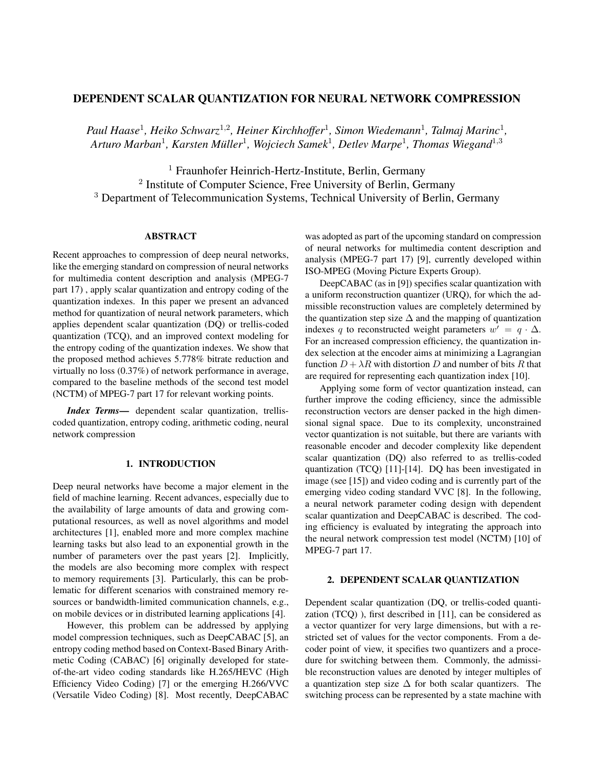# DEPENDENT SCALAR QUANTIZATION FOR NEURAL NETWORK COMPRESSION

Paul Haase<sup>1</sup>, Heiko Schwarz<sup>1,2</sup>, Heiner Kirchhoffer<sup>1</sup>, Simon Wiedemann<sup>1</sup>, Talmaj Marinc<sup>1</sup>, *Arturo Marban*<sup>1</sup> *, Karsten Muller ¨* 1 *, Wojciech Samek*<sup>1</sup> *, Detlev Marpe*<sup>1</sup> *, Thomas Wiegand*<sup>1</sup>,<sup>3</sup>

<sup>1</sup> Fraunhofer Heinrich-Hertz-Institute, Berlin, Germany <sup>2</sup> Institute of Computer Science, Free University of Berlin, Germany <sup>3</sup> Department of Telecommunication Systems, Technical University of Berlin, Germany

## ABSTRACT

Recent approaches to compression of deep neural networks, like the emerging standard on compression of neural networks for multimedia content description and analysis (MPEG-7 part 17) , apply scalar quantization and entropy coding of the quantization indexes. In this paper we present an advanced method for quantization of neural network parameters, which applies dependent scalar quantization (DQ) or trellis-coded quantization (TCQ), and an improved context modeling for the entropy coding of the quantization indexes. We show that the proposed method achieves 5.778% bitrate reduction and virtually no loss (0.37%) of network performance in average, compared to the baseline methods of the second test model (NCTM) of MPEG-7 part 17 for relevant working points.

*Index Terms*— dependent scalar quantization, trelliscoded quantization, entropy coding, arithmetic coding, neural network compression

## 1. INTRODUCTION

Deep neural networks have become a major element in the field of machine learning. Recent advances, especially due to the availability of large amounts of data and growing computational resources, as well as novel algorithms and model architectures [1], enabled more and more complex machine learning tasks but also lead to an exponential growth in the number of parameters over the past years [2]. Implicitly, the models are also becoming more complex with respect to memory requirements [3]. Particularly, this can be problematic for different scenarios with constrained memory resources or bandwidth-limited communication channels, e.g., on mobile devices or in distributed learning applications [4].

However, this problem can be addressed by applying model compression techniques, such as DeepCABAC [5], an entropy coding method based on Context-Based Binary Arithmetic Coding (CABAC) [6] originally developed for stateof-the-art video coding standards like H.265/HEVC (High Efficiency Video Coding) [7] or the emerging H.266/VVC (Versatile Video Coding) [8]. Most recently, DeepCABAC was adopted as part of the upcoming standard on compression of neural networks for multimedia content description and analysis (MPEG-7 part 17) [9], currently developed within ISO-MPEG (Moving Picture Experts Group).

DeepCABAC (as in [9]) specifies scalar quantization with a uniform reconstruction quantizer (URQ), for which the admissible reconstruction values are completely determined by the quantization step size  $\Delta$  and the mapping of quantization indexes q to reconstructed weight parameters  $w' = q \cdot \Delta$ . For an increased compression efficiency, the quantization index selection at the encoder aims at minimizing a Lagrangian function  $D + \lambda R$  with distortion D and number of bits R that are required for representing each quantization index [10].

Applying some form of vector quantization instead, can further improve the coding efficiency, since the admissible reconstruction vectors are denser packed in the high dimensional signal space. Due to its complexity, unconstrained vector quantization is not suitable, but there are variants with reasonable encoder and decoder complexity like dependent scalar quantization (DQ) also referred to as trellis-coded quantization (TCQ) [11]-[14]. DQ has been investigated in image (see [15]) and video coding and is currently part of the emerging video coding standard VVC [8]. In the following, a neural network parameter coding design with dependent scalar quantization and DeepCABAC is described. The coding efficiency is evaluated by integrating the approach into the neural network compression test model (NCTM) [10] of MPEG-7 part 17.

#### 2. DEPENDENT SCALAR QUANTIZATION

Dependent scalar quantization (DQ, or trellis-coded quantization (TCQ) ), first described in [11], can be considered as a vector quantizer for very large dimensions, but with a restricted set of values for the vector components. From a decoder point of view, it specifies two quantizers and a procedure for switching between them. Commonly, the admissible reconstruction values are denoted by integer multiples of a quantization step size  $\Delta$  for both scalar quantizers. The switching process can be represented by a state machine with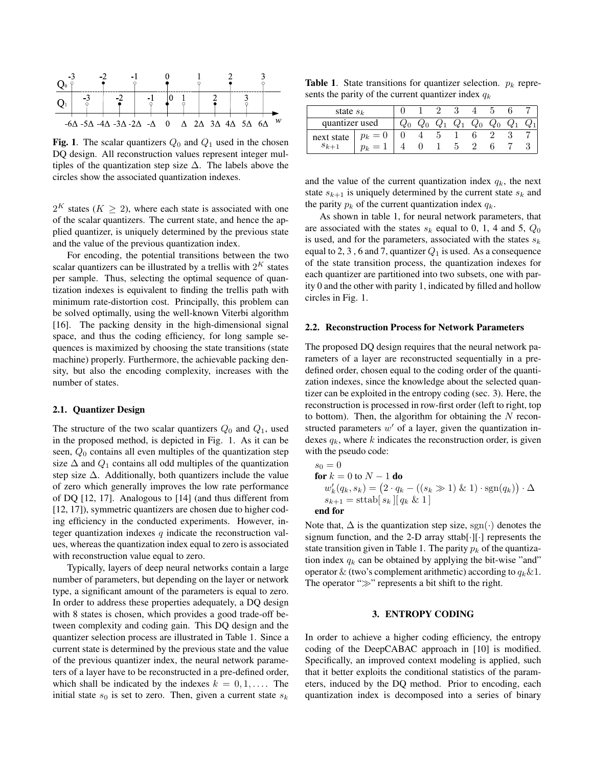

Fig. 1. The scalar quantizers  $Q_0$  and  $Q_1$  used in the chosen DQ design. All reconstruction values represent integer multiples of the quantization step size  $\Delta$ . The labels above the circles show the associated quantization indexes.

 $2^K$  states ( $K \geq 2$ ), where each state is associated with one of the scalar quantizers. The current state, and hence the applied quantizer, is uniquely determined by the previous state and the value of the previous quantization index.

For encoding, the potential transitions between the two scalar quantizers can be illustrated by a trellis with  $2^K$  states per sample. Thus, selecting the optimal sequence of quantization indexes is equivalent to finding the trellis path with minimum rate-distortion cost. Principally, this problem can be solved optimally, using the well-known Viterbi algorithm [16]. The packing density in the high-dimensional signal space, and thus the coding efficiency, for long sample sequences is maximized by choosing the state transitions (state machine) properly. Furthermore, the achievable packing density, but also the encoding complexity, increases with the number of states.

## 2.1. Quantizer Design

The structure of the two scalar quantizers  $Q_0$  and  $Q_1$ , used in the proposed method, is depicted in Fig. 1. As it can be seen,  $Q_0$  contains all even multiples of the quantization step size  $\Delta$  and  $Q_1$  contains all odd multiples of the quantization step size  $\Delta$ . Additionally, both quantizers include the value of zero which generally improves the low rate performance of DQ [12, 17]. Analogous to [14] (and thus different from [12, 17]), symmetric quantizers are chosen due to higher coding efficiency in the conducted experiments. However, integer quantization indexes  $q$  indicate the reconstruction values, whereas the quantization index equal to zero is associated with reconstruction value equal to zero.

Typically, layers of deep neural networks contain a large number of parameters, but depending on the layer or network type, a significant amount of the parameters is equal to zero. In order to address these properties adequately, a DQ design with 8 states is chosen, which provides a good trade-off between complexity and coding gain. This DQ design and the quantizer selection process are illustrated in Table 1. Since a current state is determined by the previous state and the value of the previous quantizer index, the neural network parameters of a layer have to be reconstructed in a pre-defined order, which shall be indicated by the indexes  $k = 0, 1, \ldots$ . The initial state  $s_0$  is set to zero. Then, given a current state  $s_k$ 

**Table 1.** State transitions for quantizer selection.  $p_k$  represents the parity of the current quantizer index  $q_k$ 

| state $s_k$            |                     |  |       |       |       |       |       |  |
|------------------------|---------------------|--|-------|-------|-------|-------|-------|--|
| quantizer used         |                     |  | $Q_1$ | $Q_1$ | $Q_0$ | $Q_0$ | $Q_1$ |  |
| next state<br>$s_{k-}$ | $p_k =$<br>$\theta$ |  |       |       |       |       |       |  |
|                        |                     |  |       |       |       |       |       |  |

and the value of the current quantization index  $q_k$ , the next state  $s_{k+1}$  is uniquely determined by the current state  $s_k$  and the parity  $p_k$  of the current quantization index  $q_k$ .

As shown in table 1, for neural network parameters, that are associated with the states  $s_k$  equal to 0, 1, 4 and 5,  $Q_0$ is used, and for the parameters, associated with the states  $s_k$ equal to 2, 3, 6 and 7, quantizer  $Q_1$  is used. As a consequence of the state transition process, the quantization indexes for each quantizer are partitioned into two subsets, one with parity 0 and the other with parity 1, indicated by filled and hollow circles in Fig. 1.

#### 2.2. Reconstruction Process for Network Parameters

The proposed DQ design requires that the neural network parameters of a layer are reconstructed sequentially in a predefined order, chosen equal to the coding order of the quantization indexes, since the knowledge about the selected quantizer can be exploited in the entropy coding (sec. 3). Here, the reconstruction is processed in row-first order (left to right, top to bottom). Then, the algorithm for obtaining the  $N$  reconstructed parameters  $w'$  of a layer, given the quantization indexes  $q_k$ , where k indicates the reconstruction order, is given with the pseudo code:

$$
s_0 = 0
$$
  
for  $k = 0$  to  $N - 1$  do  

$$
w'_k(q_k, s_k) = (2 \cdot q_k - ((s_k \gg 1) \& 1) \cdot \text{sgn}(q_k)) \cdot \Delta
$$

$$
s_{k+1} = \text{sttab} [s_k] [q_k \& 1]
$$
  
end for

Note that,  $\Delta$  is the quantization step size, sgn( $\cdot$ ) denotes the signum function, and the 2-D array sttab[·][·] represents the state transition given in Table 1. The parity  $p_k$  of the quantization index  $q_k$  can be obtained by applying the bit-wise "and" operator & (two's complement arithmetic) according to  $q_k \& 1$ . The operator " $\gg$ " represents a bit shift to the right.

#### 3. ENTROPY CODING

In order to achieve a higher coding efficiency, the entropy coding of the DeepCABAC approach in [10] is modified. Specifically, an improved context modeling is applied, such that it better exploits the conditional statistics of the parameters, induced by the DQ method. Prior to encoding, each quantization index is decomposed into a series of binary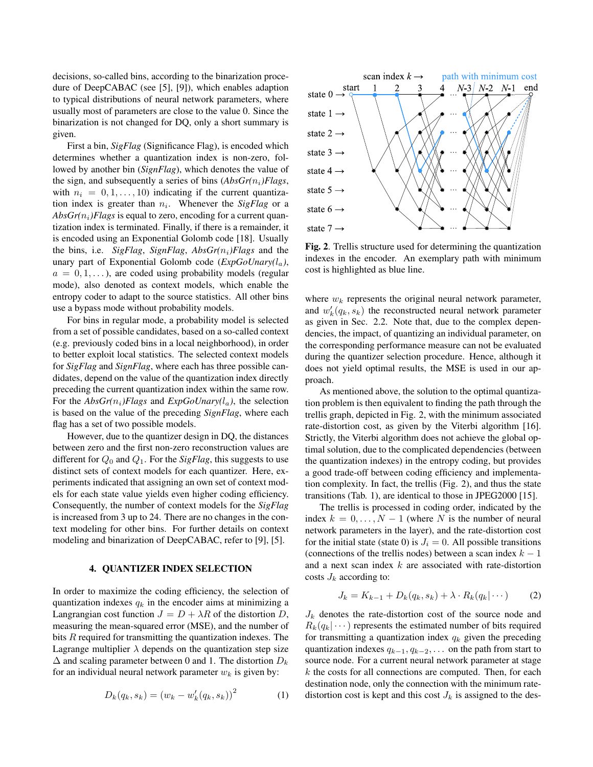decisions, so-called bins, according to the binarization procedure of DeepCABAC (see [5], [9]), which enables adaption to typical distributions of neural network parameters, where usually most of parameters are close to the value 0. Since the binarization is not changed for DQ, only a short summary is given.

First a bin, *SigFlag* (Significance Flag), is encoded which determines whether a quantization index is non-zero, followed by another bin (*SignFlag*), which denotes the value of the sign, and subsequently a series of bins  $(AbsGr(n_i)Flags,$ with  $n_i = 0, 1, \ldots, 10$  indicating if the current quantization index is greater than  $n_i$ . Whenever the *SigFlag* or a  $AbsGr(n<sub>i</sub>)Flags$  is equal to zero, encoding for a current quantization index is terminated. Finally, if there is a remainder, it is encoded using an Exponential Golomb code [18]. Usually the bins, i.e. *SigFlag*, *SignFlag*,  $AbsGr(n_i)Flags$  and the unary part of Exponential Golomb code  $(ExpGoUnary(l_a))$ ,  $a = 0, 1, \ldots$ ), are coded using probability models (regular mode), also denoted as context models, which enable the entropy coder to adapt to the source statistics. All other bins use a bypass mode without probability models.

For bins in regular mode, a probability model is selected from a set of possible candidates, based on a so-called context (e.g. previously coded bins in a local neighborhood), in order to better exploit local statistics. The selected context models for *SigFlag* and *SignFlag*, where each has three possible candidates, depend on the value of the quantization index directly preceding the current quantization index within the same row. For the  $AbsGr(n_i)Flags$  and  $ExpGoUnarv(l_a)$ , the selection is based on the value of the preceding *SignFlag*, where each flag has a set of two possible models.

However, due to the quantizer design in DQ, the distances between zero and the first non-zero reconstruction values are different for  $Q_0$  and  $Q_1$ . For the *SigFlag*, this suggests to use distinct sets of context models for each quantizer. Here, experiments indicated that assigning an own set of context models for each state value yields even higher coding efficiency. Consequently, the number of context models for the *SigFlag* is increased from 3 up to 24. There are no changes in the context modeling for other bins. For further details on context modeling and binarization of DeepCABAC, refer to [9], [5].

## 4. QUANTIZER INDEX SELECTION

In order to maximize the coding efficiency, the selection of quantization indexes  $q_k$  in the encoder aims at minimizing a Langrangian cost function  $J = D + \lambda R$  of the distortion D, measuring the mean-squared error (MSE), and the number of bits R required for transmitting the quantization indexes. The Lagrange multiplier  $\lambda$  depends on the quantization step size  $\Delta$  and scaling parameter between 0 and 1. The distortion  $D_k$ for an individual neural network parameter  $w_k$  is given by:

$$
D_k(q_k, s_k) = (w_k - w'_k(q_k, s_k))^2
$$
 (1)



Fig. 2. Trellis structure used for determining the quantization indexes in the encoder. An exemplary path with minimum cost is highlighted as blue line.

where  $w_k$  represents the original neural network parameter, and  $w'_k(q_k, s_k)$  the reconstructed neural network parameter as given in Sec. 2.2. Note that, due to the complex dependencies, the impact, of quantizing an individual parameter, on the corresponding performance measure can not be evaluated during the quantizer selection procedure. Hence, although it does not yield optimal results, the MSE is used in our approach.

As mentioned above, the solution to the optimal quantization problem is then equivalent to finding the path through the trellis graph, depicted in Fig. 2, with the minimum associated rate-distortion cost, as given by the Viterbi algorithm [16]. Strictly, the Viterbi algorithm does not achieve the global optimal solution, due to the complicated dependencies (between the quantization indexes) in the entropy coding, but provides a good trade-off between coding efficiency and implementation complexity. In fact, the trellis (Fig. 2), and thus the state transitions (Tab. 1), are identical to those in JPEG2000 [15].

The trellis is processed in coding order, indicated by the index  $k = 0, \ldots, N - 1$  (where N is the number of neural network parameters in the layer), and the rate-distortion cost for the initial state (state 0) is  $J_i = 0$ . All possible transitions (connections of the trellis nodes) between a scan index  $k - 1$ and a next scan index k are associated with rate-distortion costs  $J_k$  according to:

$$
J_k = K_{k-1} + D_k(q_k, s_k) + \lambda \cdot R_k(q_k | \cdots)
$$
 (2)

 $J_k$  denotes the rate-distortion cost of the source node and  $R_k(q_k|\cdots)$  represents the estimated number of bits required for transmitting a quantization index  $q_k$  given the preceding quantization indexes  $q_{k-1}, q_{k-2}, \ldots$  on the path from start to source node. For a current neural network parameter at stage  $k$  the costs for all connections are computed. Then, for each destination node, only the connection with the minimum ratedistortion cost is kept and this cost  $J_k$  is assigned to the des-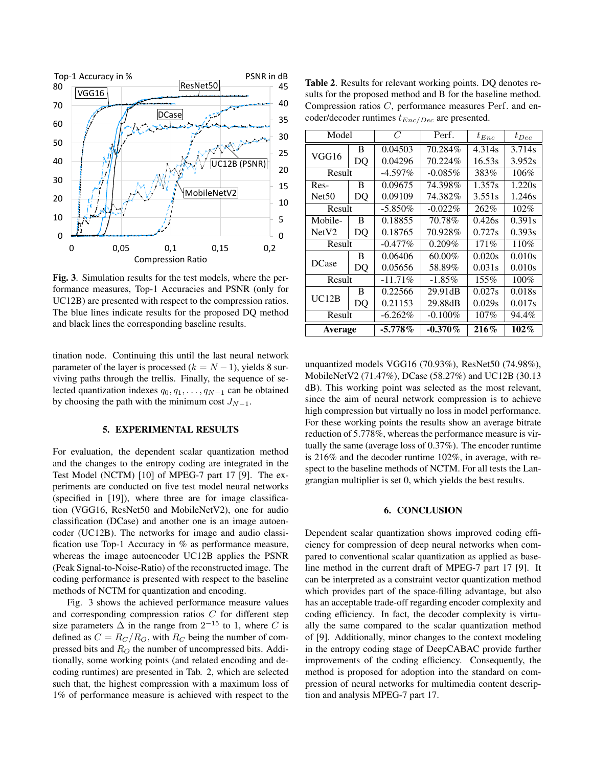

Fig. 3. Simulation results for the test models, where the performance measures, Top-1 Accuracies and PSNR (only for UC12B) are presented with respect to the compression ratios. The blue lines indicate results for the proposed DQ method and black lines the corresponding baseline results.

tination node. Continuing this until the last neural network parameter of the layer is processed ( $k = N - 1$ ), yields 8 surviving paths through the trellis. Finally, the sequence of selected quantization indexes  $q_0, q_1, \ldots, q_{N-1}$  can be obtained by choosing the path with the minimum cost  $J_{N-1}$ .

### 5. EXPERIMENTAL RESULTS

For evaluation, the dependent scalar quantization method and the changes to the entropy coding are integrated in the Test Model (NCTM) [10] of MPEG-7 part 17 [9]. The experiments are conducted on five test model neural networks (specified in [19]), where three are for image classification (VGG16, ResNet50 and MobileNetV2), one for audio classification (DCase) and another one is an image autoencoder (UC12B). The networks for image and audio classification use Top-1 Accuracy in % as performance measure, whereas the image autoencoder UC12B applies the PSNR (Peak Signal-to-Noise-Ratio) of the reconstructed image. The coding performance is presented with respect to the baseline methods of NCTM for quantization and encoding.

Fig. 3 shows the achieved performance measure values and corresponding compression ratios C for different step size parameters  $\Delta$  in the range from  $2^{-15}$  to 1, where C is defined as  $C = R_C/R_O$ , with  $R_C$  being the number of compressed bits and  $R_O$  the number of uncompressed bits. Additionally, some working points (and related encoding and decoding runtimes) are presented in Tab. 2, which are selected such that, the highest compression with a maximum loss of 1% of performance measure is achieved with respect to the

Table 2. Results for relevant working points. DQ denotes results for the proposed method and B for the baseline method. Compression ratios C, performance measures Perf. and encoder/decoder runtimes  $t_{Enc/Dec}$  are presented.

| Model             |    | $\overline{C}$ | Perf.      | $t_{Enc}$ | $t_{Dec}$ |  |
|-------------------|----|----------------|------------|-----------|-----------|--|
| VGG16             | B  | 0.04503        | 70.284%    | 4.314s    | 3.714s    |  |
|                   | DO | 0.04296        | 70.224%    | 16.53s    | 3.952s    |  |
| Result            |    | $-4.597\%$     | $-0.085\%$ | 383%      | 106%      |  |
| Res-              | B  | 0.09675        | 74.398%    | 1.357s    | 1.220s    |  |
| Net <sub>50</sub> | DQ | 0.09109        | 74.382%    | 3.551s    | 1.246s    |  |
| Result            |    | $-5.850\%$     | $-0.022\%$ | 262%      | 102%      |  |
| Mobile-           | B  | 0.18855        | 70.78%     | 0.426s    | 0.391s    |  |
| NetV2             | DQ | 0.18765        | 70.928%    | 0.727s    | 0.393s    |  |
| Result            |    | $-0.477\%$     | $0.209\%$  | 171%      | 110%      |  |
| <b>DCase</b>      | B  | 0.06406        | 60.00%     | 0.020s    | 0.010s    |  |
|                   | DQ | 0.05656        | 58.89%     | 0.031s    | 0.010s    |  |
| Result            |    | $-11.71\%$     | $-1.85\%$  | 155%      | 100%      |  |
| UC12B             | B  | 0.22566        | 29.91dB    | 0.027s    | 0.018s    |  |
|                   | DO | 0.21153        | 29.88dB    | 0.029s    | 0.017s    |  |
| Result            |    | $-6.262\%$     | $-0.100\%$ | 107%      | 94.4%     |  |
| Average           |    | $-5.778\%$     | $-0.370\%$ | 216%      | $102\%$   |  |

unquantized models VGG16 (70.93%), ResNet50 (74.98%), MobileNetV2 (71.47%), DCase (58.27%) and UC12B (30.13 dB). This working point was selected as the most relevant, since the aim of neural network compression is to achieve high compression but virtually no loss in model performance. For these working points the results show an average bitrate reduction of 5.778%, whereas the performance measure is virtually the same (average loss of 0.37%). The encoder runtime is 216% and the decoder runtime 102%, in average, with respect to the baseline methods of NCTM. For all tests the Langrangian multiplier is set 0, which yields the best results.

## 6. CONCLUSION

Dependent scalar quantization shows improved coding efficiency for compression of deep neural networks when compared to conventional scalar quantization as applied as baseline method in the current draft of MPEG-7 part 17 [9]. It can be interpreted as a constraint vector quantization method which provides part of the space-filling advantage, but also has an acceptable trade-off regarding encoder complexity and coding efficiency. In fact, the decoder complexity is virtually the same compared to the scalar quantization method of [9]. Additionally, minor changes to the context modeling in the entropy coding stage of DeepCABAC provide further improvements of the coding efficiency. Consequently, the method is proposed for adoption into the standard on compression of neural networks for multimedia content description and analysis MPEG-7 part 17.